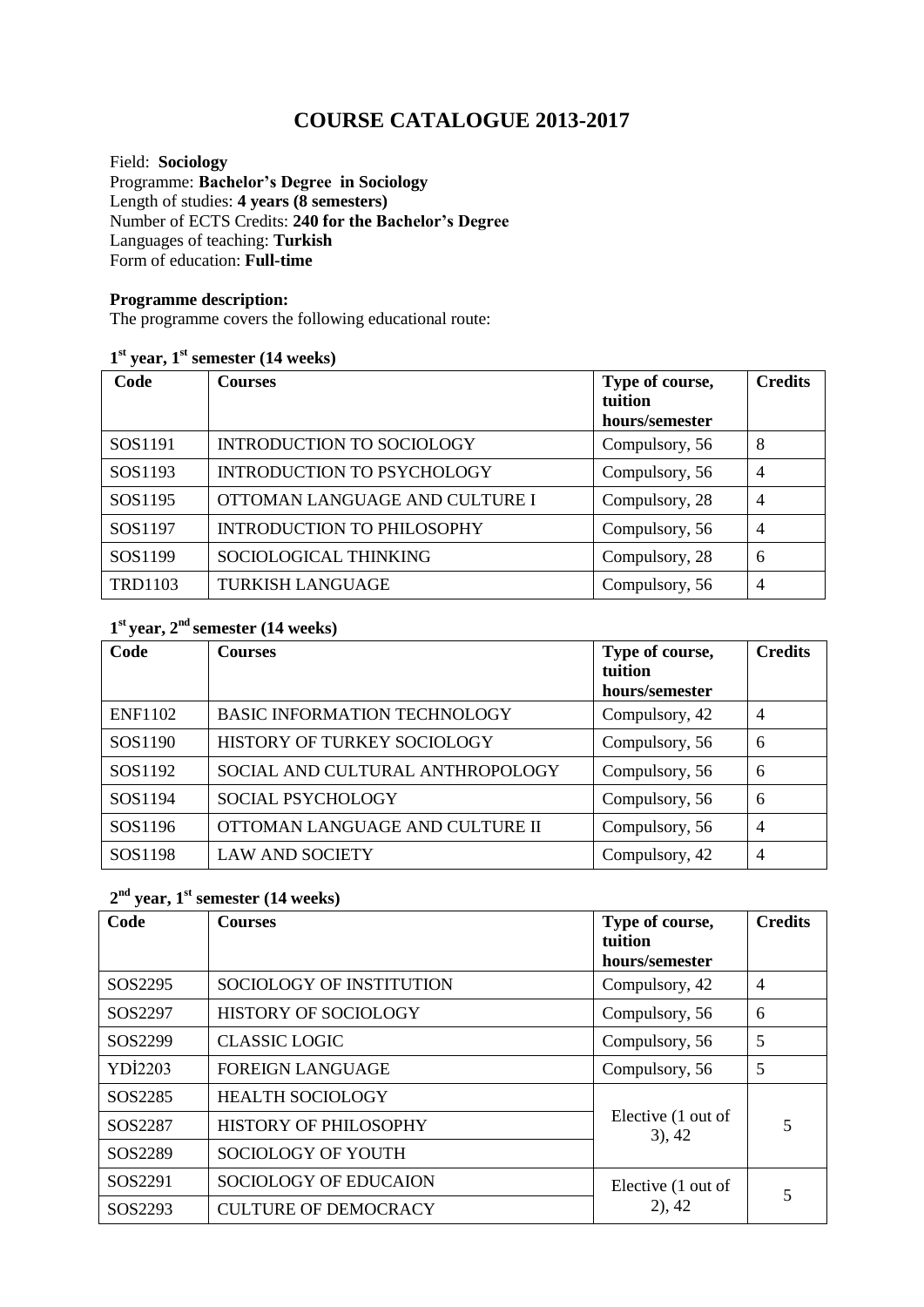# **COURSE CATALOGUE 2013-2017**

Field: **Sociology** Programme: **Bachelor's Degree in Sociology** Length of studies: **4 years (8 semesters)**  Number of ECTS Credits: **240 for the Bachelor's Degree** Languages of teaching: **Turkish** Form of education: **Full-time** 

#### **Programme description:**

The programme covers the following educational route:

#### **1 st year, 1st semester (14 weeks)**

| Code           | <b>Courses</b>                    | Type of course,<br>tuition<br>hours/semester | <b>Credits</b> |
|----------------|-----------------------------------|----------------------------------------------|----------------|
| SOS1191        | <b>INTRODUCTION TO SOCIOLOGY</b>  | Compulsory, 56                               | 8              |
| SOS1193        | <b>INTRODUCTION TO PSYCHOLOGY</b> | Compulsory, 56                               | $\overline{4}$ |
| SOS1195        | OTTOMAN LANGUAGE AND CULTURE I    | Compulsory, 28                               | $\overline{4}$ |
| SOS1197        | <b>INTRODUCTION TO PHILOSOPHY</b> | Compulsory, 56                               | $\overline{4}$ |
| SOS1199        | SOCIOLOGICAL THINKING             | Compulsory, 28                               | 6              |
| <b>TRD1103</b> | <b>TURKISH LANGUAGE</b>           | Compulsory, 56                               | $\overline{4}$ |

### **1 st year, 2nd semester (14 weeks)**

| Code           | <b>Courses</b>                      | Type of course,<br>tuition<br>hours/semester | <b>Credits</b> |
|----------------|-------------------------------------|----------------------------------------------|----------------|
| <b>ENF1102</b> | <b>BASIC INFORMATION TECHNOLOGY</b> | Compulsory, 42                               | $\overline{4}$ |
| SOS1190        | HISTORY OF TURKEY SOCIOLOGY         | Compulsory, 56                               | 6              |
| SOS1192        | SOCIAL AND CULTURAL ANTHROPOLOGY    | Compulsory, 56                               | 6              |
| SOS1194        | <b>SOCIAL PSYCHOLOGY</b>            | Compulsory, 56                               | 6              |
| SOS1196        | OTTOMAN LANGUAGE AND CULTURE II     | Compulsory, 56                               | $\overline{4}$ |
| SOS1198        | <b>LAW AND SOCIETY</b>              | Compulsory, 42                               | $\overline{4}$ |

#### **2 nd year, 1st semester (14 weeks)**

| Code           | <b>Courses</b>              | Type of course,<br>tuition<br>hours/semester | <b>Credits</b> |
|----------------|-----------------------------|----------------------------------------------|----------------|
| SOS2295        | SOCIOLOGY OF INSTITUTION    | Compulsory, 42                               | $\overline{4}$ |
| SOS2297        | <b>HISTORY OF SOCIOLOGY</b> | Compulsory, 56                               | 6              |
| SOS2299        | <b>CLASSIC LOGIC</b>        | Compulsory, 56                               | 5              |
| <b>YDI2203</b> | <b>FOREIGN LANGUAGE</b>     | Compulsory, 56                               | 5              |
| SOS2285        | <b>HEALTH SOCIOLOGY</b>     | Elective (1 out of<br>$3)$ , 42              | 5              |
| SOS2287        | HISTORY OF PHILOSOPHY       |                                              |                |
| SOS2289        | SOCIOLOGY OF YOUTH          |                                              |                |
| SOS2291        | SOCIOLOGY OF EDUCAION       | Elective (1 out of<br>$2)$ , 42              |                |
| SOS2293        | <b>CULTURE OF DEMOCRACY</b> |                                              |                |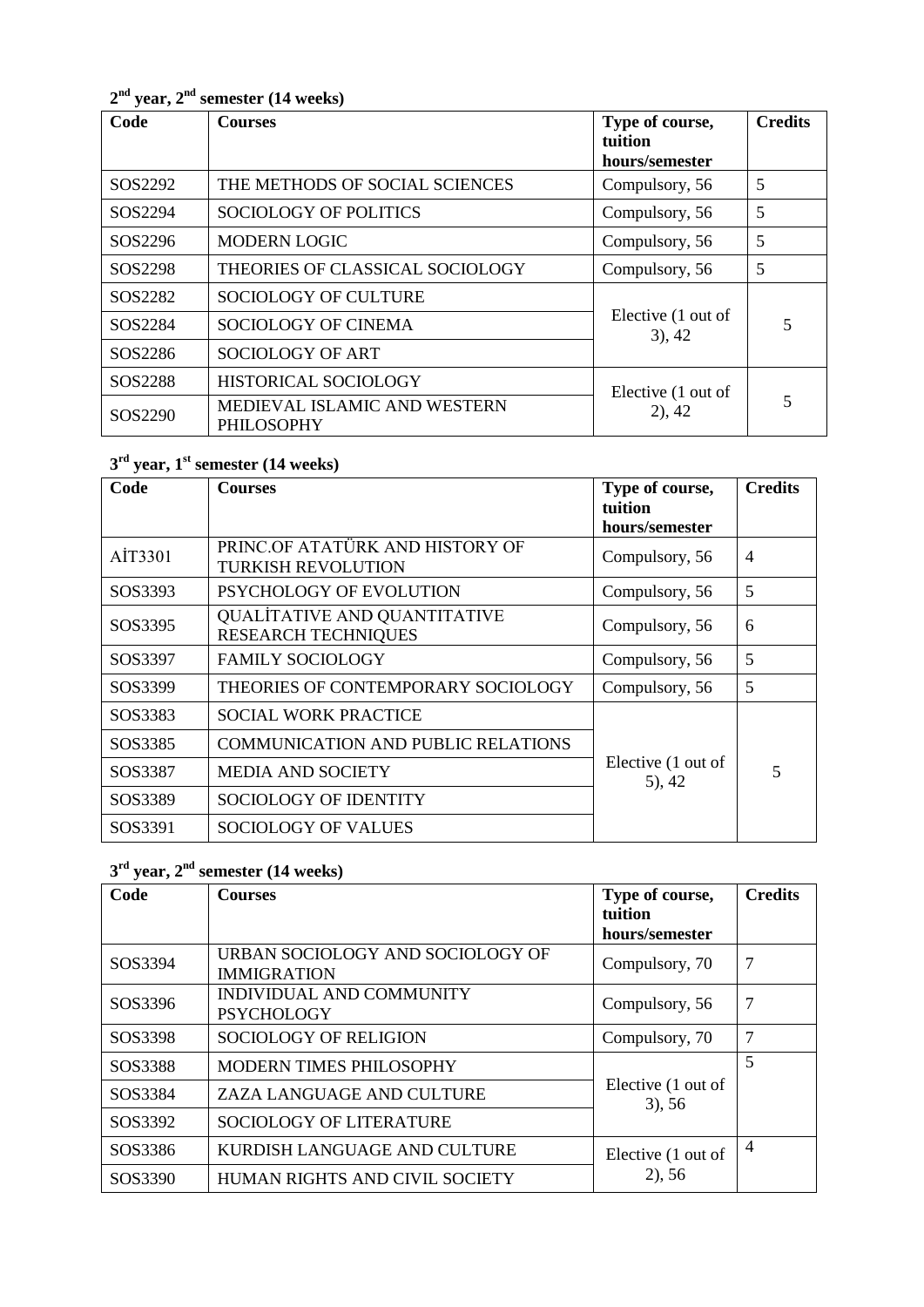**2 nd year, 2 nd semester (14 weeks)**

| Code    | <b>Courses</b>                                    | Type of course,<br>tuition<br>hours/semester | <b>Credits</b> |
|---------|---------------------------------------------------|----------------------------------------------|----------------|
| SOS2292 | THE METHODS OF SOCIAL SCIENCES                    | Compulsory, 56                               | 5              |
| SOS2294 | <b>SOCIOLOGY OF POLITICS</b>                      | Compulsory, 56                               | 5              |
| SOS2296 | <b>MODERN LOGIC</b>                               | Compulsory, 56                               | 5              |
| SOS2298 | THEORIES OF CLASSICAL SOCIOLOGY                   | Compulsory, 56                               | 5              |
| SOS2282 | <b>SOCIOLOGY OF CULTURE</b>                       | Elective (1 out of<br>$3)$ , 42              | 5              |
| SOS2284 | SOCIOLOGY OF CINEMA                               |                                              |                |
| SOS2286 | SOCIOLOGY OF ART                                  |                                              |                |
| SOS2288 | HISTORICAL SOCIOLOGY                              | Elective (1 out of<br>$2)$ , 42              | 5              |
| SOS2290 | MEDIEVAL ISLAMIC AND WESTERN<br><b>PHILOSOPHY</b> |                                              |                |

## **3 rd year, 1 st semester (14 weeks)**

| Code    | <b>Courses</b>                                                    | Type of course,<br>tuition       | <b>Credits</b> |
|---------|-------------------------------------------------------------------|----------------------------------|----------------|
|         |                                                                   | hours/semester                   |                |
| AIT3301 | PRINC.OF ATATÜRK AND HISTORY OF<br><b>TURKISH REVOLUTION</b>      | Compulsory, 56                   | $\overline{4}$ |
| SOS3393 | <b>PSYCHOLOGY OF EVOLUTION</b>                                    | Compulsory, 56                   | 5              |
| SOS3395 | <b>QUALITATIVE AND QUANTITATIVE</b><br><b>RESEARCH TECHNIQUES</b> | Compulsory, 56                   | 6              |
| SOS3397 | <b>FAMILY SOCIOLOGY</b>                                           | Compulsory, 56                   | 5              |
| SOS3399 | THEORIES OF CONTEMPORARY SOCIOLOGY                                | Compulsory, 56                   | 5              |
| SOS3383 | <b>SOCIAL WORK PRACTICE</b>                                       |                                  |                |
| SOS3385 | <b>COMMUNICATION AND PUBLIC RELATIONS</b>                         | Elective (1 out of<br>$(5)$ , 42 | $\overline{5}$ |
| SOS3387 | <b>MEDIA AND SOCIETY</b>                                          |                                  |                |
| SOS3389 | SOCIOLOGY OF IDENTITY                                             |                                  |                |
| SOS3391 | <b>SOCIOLOGY OF VALUES</b>                                        |                                  |                |

## **3 rd year, 2 nd semester (14 weeks)**

| Code    | <b>Courses</b>                                         | Type of course,<br>tuition<br>hours/semester | <b>Credits</b> |
|---------|--------------------------------------------------------|----------------------------------------------|----------------|
| SOS3394 | URBAN SOCIOLOGY AND SOCIOLOGY OF<br><b>IMMIGRATION</b> | Compulsory, 70                               | 7              |
| SOS3396 | INDIVIDUAL AND COMMUNITY<br><b>PSYCHOLOGY</b>          | Compulsory, 56                               | 7              |
| SOS3398 | <b>SOCIOLOGY OF RELIGION</b>                           | Compulsory, 70                               | 7              |
| SOS3388 | <b>MODERN TIMES PHILOSOPHY</b>                         | Elective (1 out of<br>$3)$ , 56              | 5              |
| SOS3384 | ZAZA LANGUAGE AND CULTURE                              |                                              |                |
| SOS3392 | <b>SOCIOLOGY OF LITERATURE</b>                         |                                              |                |
| SOS3386 | KURDISH LANGUAGE AND CULTURE                           | Elective (1 out of<br>2), 56                 | $\overline{4}$ |
| SOS3390 | HUMAN RIGHTS AND CIVIL SOCIETY                         |                                              |                |